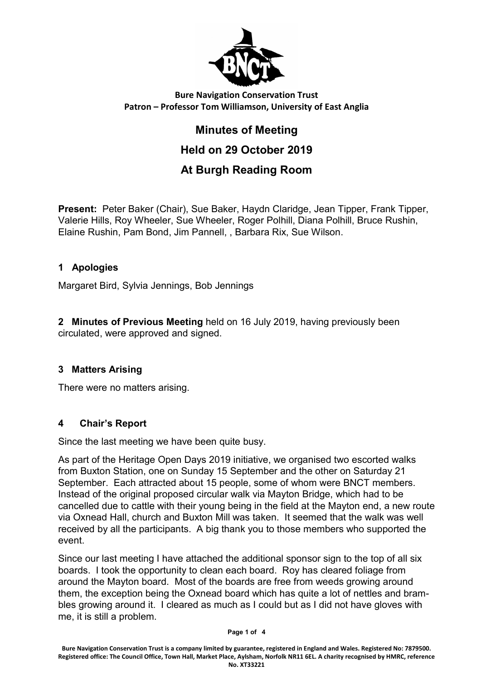

# Bure Navigation Conservation Trust Patron – Professor Tom Williamson, University of East Anglia

# Minutes of Meeting Held on 29 October 2019 At Burgh Reading Room

Present: Peter Baker (Chair), Sue Baker, Haydn Claridge, Jean Tipper, Frank Tipper, Valerie Hills, Roy Wheeler, Sue Wheeler, Roger Polhill, Diana Polhill, Bruce Rushin, Elaine Rushin, Pam Bond, Jim Pannell, , Barbara Rix, Sue Wilson.

# 1 Apologies

Margaret Bird, Sylvia Jennings, Bob Jennings

2 Minutes of Previous Meeting held on 16 July 2019, having previously been circulated, were approved and signed.

#### 3 Matters Arising

There were no matters arising.

#### 4 Chair's Report

Since the last meeting we have been quite busy.

As part of the Heritage Open Days 2019 initiative, we organised two escorted walks from Buxton Station, one on Sunday 15 September and the other on Saturday 21 September. Each attracted about 15 people, some of whom were BNCT members. Instead of the original proposed circular walk via Mayton Bridge, which had to be cancelled due to cattle with their young being in the field at the Mayton end, a new route via Oxnead Hall, church and Buxton Mill was taken. It seemed that the walk was well received by all the participants. A big thank you to those members who supported the event.

Since our last meeting I have attached the additional sponsor sign to the top of all six boards. I took the opportunity to clean each board. Roy has cleared foliage from around the Mayton board. Most of the boards are free from weeds growing around them, the exception being the Oxnead board which has quite a lot of nettles and brambles growing around it. I cleared as much as I could but as I did not have gloves with me, it is still a problem.

#### Page 1 of 4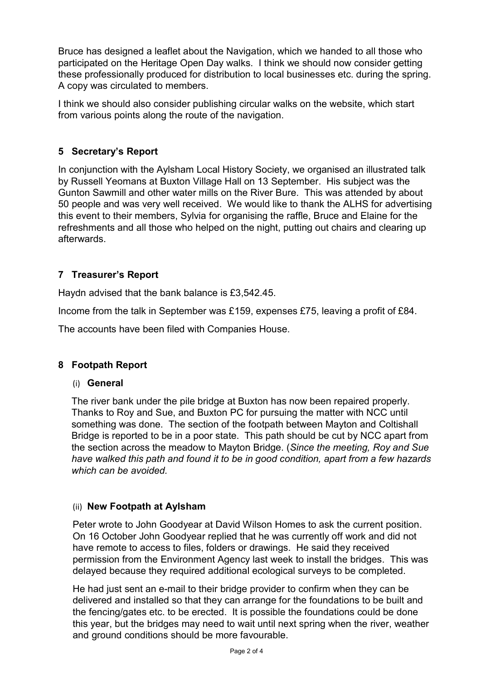Bruce has designed a leaflet about the Navigation, which we handed to all those who participated on the Heritage Open Day walks. I think we should now consider getting these professionally produced for distribution to local businesses etc. during the spring. A copy was circulated to members.

I think we should also consider publishing circular walks on the website, which start from various points along the route of the navigation.

## 5 Secretary's Report

In conjunction with the Aylsham Local History Society, we organised an illustrated talk by Russell Yeomans at Buxton Village Hall on 13 September. His subject was the Gunton Sawmill and other water mills on the River Bure. This was attended by about 50 people and was very well received. We would like to thank the ALHS for advertising this event to their members, Sylvia for organising the raffle, Bruce and Elaine for the refreshments and all those who helped on the night, putting out chairs and clearing up afterwards.

# 7 Treasurer's Report

Haydn advised that the bank balance is £3,542.45.

Income from the talk in September was £159, expenses £75, leaving a profit of £84.

The accounts have been filed with Companies House.

#### 8 Footpath Report

#### (i) General

The river bank under the pile bridge at Buxton has now been repaired properly. Thanks to Roy and Sue, and Buxton PC for pursuing the matter with NCC until something was done. The section of the footpath between Mayton and Coltishall Bridge is reported to be in a poor state. This path should be cut by NCC apart from the section across the meadow to Mayton Bridge. (Since the meeting, Roy and Sue have walked this path and found it to be in good condition, apart from a few hazards which can be avoided.

#### (ii) New Footpath at Aylsham

Peter wrote to John Goodyear at David Wilson Homes to ask the current position. On 16 October John Goodyear replied that he was currently off work and did not have remote to access to files, folders or drawings. He said they received permission from the Environment Agency last week to install the bridges. This was delayed because they required additional ecological surveys to be completed.

He had just sent an e-mail to their bridge provider to confirm when they can be delivered and installed so that they can arrange for the foundations to be built and the fencing/gates etc. to be erected. It is possible the foundations could be done this year, but the bridges may need to wait until next spring when the river, weather and ground conditions should be more favourable.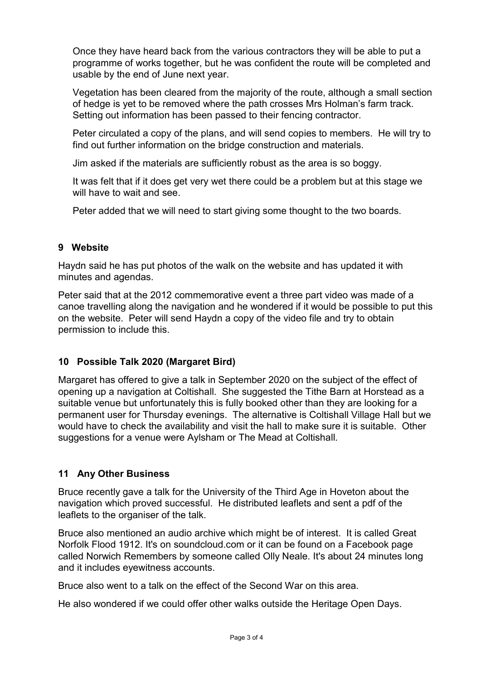Once they have heard back from the various contractors they will be able to put a programme of works together, but he was confident the route will be completed and usable by the end of June next year.

Vegetation has been cleared from the majority of the route, although a small section of hedge is yet to be removed where the path crosses Mrs Holman's farm track. Setting out information has been passed to their fencing contractor.

Peter circulated a copy of the plans, and will send copies to members. He will try to find out further information on the bridge construction and materials.

Jim asked if the materials are sufficiently robust as the area is so boggy.

It was felt that if it does get very wet there could be a problem but at this stage we will have to wait and see.

Peter added that we will need to start giving some thought to the two boards.

#### 9 Website

Haydn said he has put photos of the walk on the website and has updated it with minutes and agendas.

Peter said that at the 2012 commemorative event a three part video was made of a canoe travelling along the navigation and he wondered if it would be possible to put this on the website. Peter will send Haydn a copy of the video file and try to obtain permission to include this.

#### 10 Possible Talk 2020 (Margaret Bird)

Margaret has offered to give a talk in September 2020 on the subject of the effect of opening up a navigation at Coltishall. She suggested the Tithe Barn at Horstead as a suitable venue but unfortunately this is fully booked other than they are looking for a permanent user for Thursday evenings. The alternative is Coltishall Village Hall but we would have to check the availability and visit the hall to make sure it is suitable. Other suggestions for a venue were Aylsham or The Mead at Coltishall.

#### 11 Any Other Business

Bruce recently gave a talk for the University of the Third Age in Hoveton about the navigation which proved successful. He distributed leaflets and sent a pdf of the leaflets to the organiser of the talk.

Bruce also mentioned an audio archive which might be of interest. It is called Great Norfolk Flood 1912. It's on soundcloud.com or it can be found on a Facebook page called Norwich Remembers by someone called Olly Neale. It's about 24 minutes long and it includes eyewitness accounts.

Bruce also went to a talk on the effect of the Second War on this area.

He also wondered if we could offer other walks outside the Heritage Open Days.